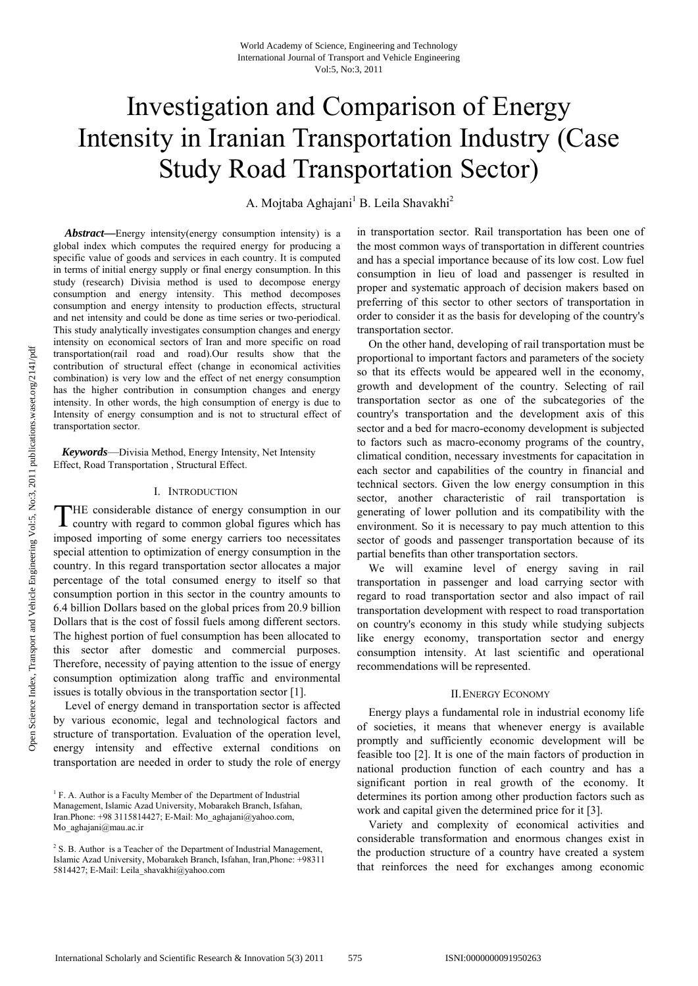# Investigation and Comparison of Energy Intensity in Iranian Transportation Industry (Case Study Road Transportation Sector)

A. Mojtaba Aghajani<sup>1</sup> B. Leila Shavakhi<sup>2</sup>

*Abstract***—**Energy intensity(energy consumption intensity) is a global index which computes the required energy for producing a specific value of goods and services in each country. It is computed in terms of initial energy supply or final energy consumption. In this study (research) Divisia method is used to decompose energy consumption and energy intensity. This method decomposes consumption and energy intensity to production effects, structural and net intensity and could be done as time series or two-periodical. This study analytically investigates consumption changes and energy intensity on economical sectors of Iran and more specific on road transportation(rail road and road).Our results show that the contribution of structural effect (change in economical activities combination) is very low and the effect of net energy consumption has the higher contribution in consumption changes and energy intensity. In other words, the high consumption of energy is due to Intensity of energy consumption and is not to structural effect of transportation sector.

 *Keywords*—Divisia Method, Energy Intensity, Net Intensity Effect, Road Transportation , Structural Effect.

#### I. INTRODUCTION

HE considerable distance of energy consumption in our THE considerable distance of energy consumption in our country with regard to common global figures which has imposed importing of some energy carriers too necessitates special attention to optimization of energy consumption in the country. In this regard transportation sector allocates a major percentage of the total consumed energy to itself so that consumption portion in this sector in the country amounts to 6.4 billion Dollars based on the global prices from 20.9 billion Dollars that is the cost of fossil fuels among different sectors. The highest portion of fuel consumption has been allocated to this sector after domestic and commercial purposes. Therefore, necessity of paying attention to the issue of energy consumption optimization along traffic and environmental issues is totally obvious in the transportation sector [1].

Level of energy demand in transportation sector is affected by various economic, legal and technological factors and structure of transportation. Evaluation of the operation level, energy intensity and effective external conditions on transportation are needed in order to study the role of energy

in transportation sector. Rail transportation has been one of the most common ways of transportation in different countries and has a special importance because of its low cost. Low fuel consumption in lieu of load and passenger is resulted in proper and systematic approach of decision makers based on preferring of this sector to other sectors of transportation in order to consider it as the basis for developing of the country's transportation sector.

On the other hand, developing of rail transportation must be proportional to important factors and parameters of the society so that its effects would be appeared well in the economy, growth and development of the country. Selecting of rail transportation sector as one of the subcategories of the country's transportation and the development axis of this sector and a bed for macro-economy development is subjected to factors such as macro-economy programs of the country, climatical condition, necessary investments for capacitation in each sector and capabilities of the country in financial and technical sectors. Given the low energy consumption in this sector, another characteristic of rail transportation is generating of lower pollution and its compatibility with the environment. So it is necessary to pay much attention to this sector of goods and passenger transportation because of its partial benefits than other transportation sectors.

We will examine level of energy saving in rail transportation in passenger and load carrying sector with regard to road transportation sector and also impact of rail transportation development with respect to road transportation on country's economy in this study while studying subjects like energy economy, transportation sector and energy consumption intensity. At last scientific and operational recommendations will be represented.

#### II.ENERGY ECONOMY

Energy plays a fundamental role in industrial economy life of societies, it means that whenever energy is available promptly and sufficiently economic development will be feasible too [2]. It is one of the main factors of production in national production function of each country and has a significant portion in real growth of the economy. It determines its portion among other production factors such as work and capital given the determined price for it [3].

Variety and complexity of economical activities and considerable transformation and enormous changes exist in the production structure of a country have created a system that reinforces the need for exchanges among economic

<sup>&</sup>lt;sup>1</sup> F. A. Author is a Faculty Member of the Department of Industrial Management, Islamic Azad University, Mobarakeh Branch, Isfahan, Iran.Phone: +98 3115814427; E-Mail: Mo\_aghajani@yahoo.com, Mo\_aghajani@mau.ac.ir

 $2^2$  S. B. Author is a Teacher of the Department of Industrial Management, Islamic Azad University, Mobarakeh Branch, Isfahan, Iran,Phone: +98311 5814427; E-Mail: Leila\_shavakhi@yahoo.com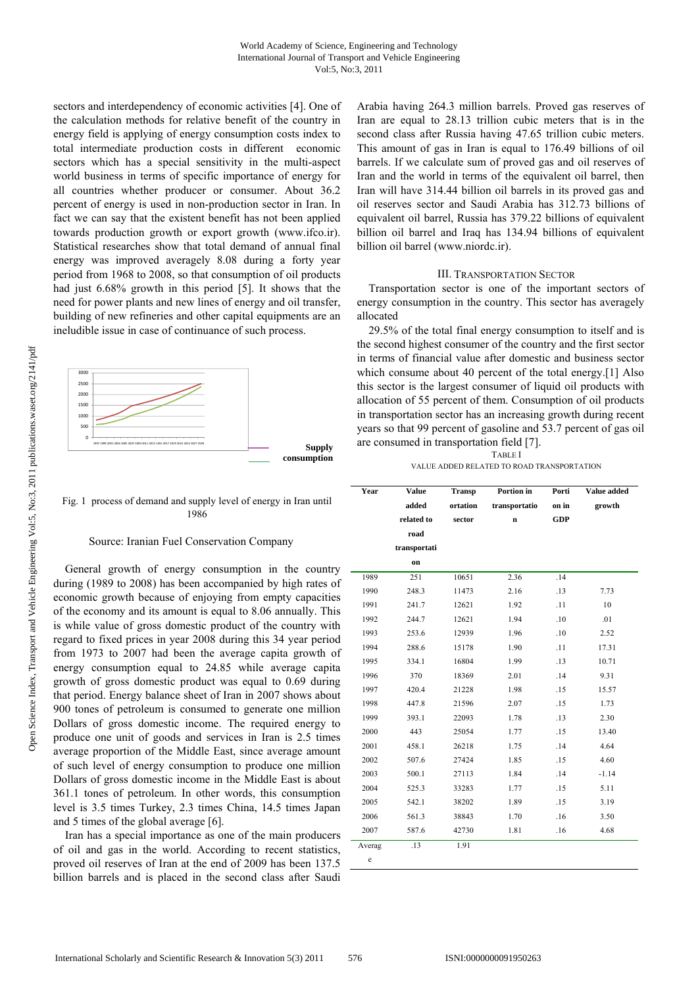sectors and interdependency of economic activities [4]. One of the calculation methods for relative benefit of the country in energy field is applying of energy consumption costs index to total intermediate production costs in different economic sectors which has a special sensitivity in the multi-aspect world business in terms of specific importance of energy for all countries whether producer or consumer. About 36.2 percent of energy is used in non-production sector in Iran. In fact we can say that the existent benefit has not been applied towards production growth or export growth (www.ifco.ir). Statistical researches show that total demand of annual final energy was improved averagely 8.08 during a forty year period from 1968 to 2008, so that consumption of oil products had just 6.68% growth in this period [5]. It shows that the need for power plants and new lines of energy and oil transfer, building of new refineries and other capital equipments are an ineludible issue in case of continuance of such process.



Fig. 1 process of demand and supply level of energy in Iran until 1986

# Source: Iranian Fuel Conservation Company

General growth of energy consumption in the country during (1989 to 2008) has been accompanied by high rates of economic growth because of enjoying from empty capacities of the economy and its amount is equal to 8.06 annually. This is while value of gross domestic product of the country with regard to fixed prices in year 2008 during this 34 year period from 1973 to 2007 had been the average capita growth of energy consumption equal to 24.85 while average capita growth of gross domestic product was equal to 0.69 during that period. Energy balance sheet of Iran in 2007 shows about 900 tones of petroleum is consumed to generate one million Dollars of gross domestic income. The required energy to produce one unit of goods and services in Iran is 2.5 times average proportion of the Middle East, since average amount of such level of energy consumption to produce one million Dollars of gross domestic income in the Middle East is about 361.1 tones of petroleum. In other words, this consumption level is 3.5 times Turkey, 2.3 times China, 14.5 times Japan and 5 times of the global average [6].

Iran has a special importance as one of the main producers of oil and gas in the world. According to recent statistics, proved oil reserves of Iran at the end of 2009 has been 137.5 billion barrels and is placed in the second class after Saudi

Arabia having 264.3 million barrels. Proved gas reserves of Iran are equal to 28.13 trillion cubic meters that is in the second class after Russia having 47.65 trillion cubic meters. This amount of gas in Iran is equal to 176.49 billions of oil barrels. If we calculate sum of proved gas and oil reserves of Iran and the world in terms of the equivalent oil barrel, then Iran will have 314.44 billion oil barrels in its proved gas and oil reserves sector and Saudi Arabia has 312.73 billions of equivalent oil barrel, Russia has 379.22 billions of equivalent billion oil barrel and Iraq has 134.94 billions of equivalent billion oil barrel (www.niordc.ir).

# III. TRANSPORTATION SECTOR

Transportation sector is one of the important sectors of energy consumption in the country. This sector has averagely allocated

29.5% of the total final energy consumption to itself and is the second highest consumer of the country and the first sector in terms of financial value after domestic and business sector which consume about 40 percent of the total energy.[1] Also this sector is the largest consumer of liquid oil products with allocation of 55 percent of them. Consumption of oil products in transportation sector has an increasing growth during recent years so that 99 percent of gasoline and 53.7 percent of gas oil are consumed in transportation field [7].

TABLE I VALUE ADDED RELATED TO ROAD TRANSPORTATION

| <b>Value</b><br>Year |              | <b>Transp</b> | Portion in    | Porti      | Value added |  |
|----------------------|--------------|---------------|---------------|------------|-------------|--|
| added                |              | ortation      | transportatio |            | growth      |  |
| related to           |              | sector        | $\mathbf n$   | <b>GDP</b> |             |  |
|                      | road         |               |               |            |             |  |
|                      | transportati |               |               |            |             |  |
|                      | on           |               |               |            |             |  |
| 1989                 | 251          | 10651         | 2.36          | .14        |             |  |
| 1990                 | 248.3        | 11473         | 2.16          | .13        | 7.73        |  |
| 1991                 | 241.7        | 12621         | 1.92          | .11        | 10          |  |
| 1992                 | 244.7        | 12621         | 1.94          | .10        | .01         |  |
| 1993                 | 253.6        | 12939         | 1.96          | .10        | 2.52        |  |
| 1994                 | 288.6        | 15178         | 1.90          | .11        | 17.31       |  |
| 1995                 | 334.1        | 16804         | 1.99          | .13        | 10.71       |  |
| 1996                 | 370          | 18369         | 2.01          | .14        | 9.31        |  |
| 1997                 | 420.4        | 21228         | 1.98          | .15        | 15.57       |  |
| 1998                 | 447.8        | 21596         | 2.07          | .15        | 1.73        |  |
| 1999                 | 393.1        | 22093         | 1.78          | .13        | 2.30        |  |
| 2000                 | 443          | 25054         | 1.77          | .15        | 13.40       |  |
| 2001                 | 458.1        | 26218         | 1.75          | .14        | 4.64        |  |
| 2002                 | 507.6        | 27424         | 1.85          | .15        | 4.60        |  |
| 2003                 | 500.1        | 27113         | 1.84          | .14        | $-1.14$     |  |
| 2004                 | 525.3        | 33283         | 1.77          | .15        | 5.11        |  |
| 2005                 | 542.1        | 38202         | 1.89          | .15        | 3.19        |  |
| 2006                 | 561.3        | 38843         | 1.70          | .16        | 3.50        |  |
| 2007                 | 587.6        | 42730         | 1.81          | .16        | 4.68        |  |
| Averag               | .13          | 1.91          |               |            |             |  |
| e                    |              |               |               |            |             |  |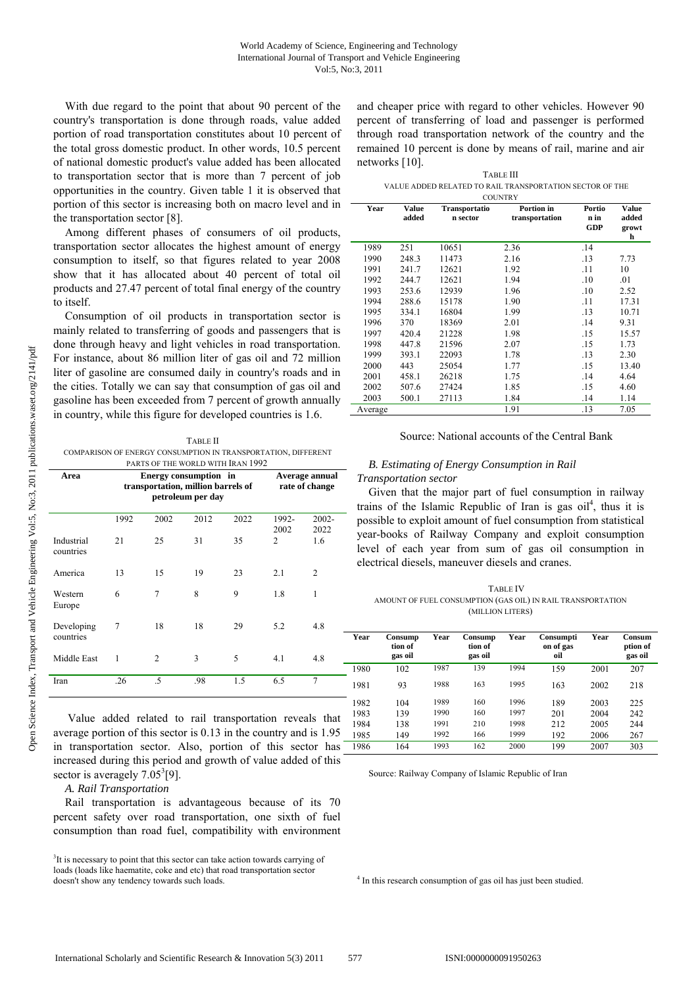With due regard to the point that about 90 percent of the country's transportation is done through roads, value added portion of road transportation constitutes about 10 percent of the total gross domestic product. In other words, 10.5 percent of national domestic product's value added has been allocated to transportation sector that is more than 7 percent of job opportunities in the country. Given table 1 it is observed that portion of this sector is increasing both on macro level and in the transportation sector [8].

Among different phases of consumers of oil products, transportation sector allocates the highest amount of energy consumption to itself, so that figures related to year 2008 show that it has allocated about 40 percent of total oil products and 27.47 percent of total final energy of the country to itself.

Consumption of oil products in transportation sector is mainly related to transferring of goods and passengers that is done through heavy and light vehicles in road transportation. For instance, about 86 million liter of gas oil and 72 million liter of gasoline are consumed daily in country's roads and in the cities. Totally we can say that consumption of gas oil and gasoline has been exceeded from 7 percent of growth annually in country, while this figure for developed countries is 1.6.

TABLE II COMPARISON OF ENERGY CONSUMPTION IN TRANSPORTATION, DIFFERENT

| PARTS OF THE WORLD WITH IRAN 1992 |                                                                                  |                |      |      |               |                                  |  |  |
|-----------------------------------|----------------------------------------------------------------------------------|----------------|------|------|---------------|----------------------------------|--|--|
| Area                              | Energy consumption in<br>transportation, million barrels of<br>petroleum per day |                |      |      |               | Average annual<br>rate of change |  |  |
|                                   | 1992                                                                             | 2002           | 2012 | 2022 | 1992-<br>2002 | $2002 -$<br>2022                 |  |  |
| Industrial<br>countries           | 21                                                                               | 25             | 31   | 35   | 2             | 1.6                              |  |  |
| America                           | 13                                                                               | 15             | 19   | 23   | 2.1           | $\mathcal{L}$                    |  |  |
| Western<br>Europe                 | 6                                                                                | 7              | 8    | 9    | 1.8           | 1                                |  |  |
| Developing<br>countries           | 7                                                                                | 18             | 18   | 29   | 5.2           | 4.8                              |  |  |
| Middle East                       | 1                                                                                | $\overline{c}$ | 3    | 5    | 4.1           | 4.8                              |  |  |
| Iran                              | .26                                                                              | .5             | .98  | 1.5  | 6.5           | 7                                |  |  |

 Value added related to rail transportation reveals that average portion of this sector is 0.13 in the country and is 1.95 in transportation sector. Also, portion of this sector has increased during this period and growth of value added of this sector is averagely  $7.05^3[9]$ .

*A. Rail Transportation* 

Rail transportation is advantageous because of its 70 percent safety over road transportation, one sixth of fuel consumption than road fuel, compatibility with environment and cheaper price with regard to other vehicles. However 90 percent of transferring of load and passenger is performed through road transportation network of the country and the remained 10 percent is done by means of rail, marine and air networks [10].

| <b>TABLE III</b>                                         |
|----------------------------------------------------------|
| VALUE ADDED RELATED TO RAIL TRANSPORTATION SECTOR OF THE |
| <b>CALCULUS TOWNS W.Y.</b>                               |

| <b>COUNTRY</b> |                       |                           |                              |                              |                                     |  |  |  |
|----------------|-----------------------|---------------------------|------------------------------|------------------------------|-------------------------------------|--|--|--|
| Year           | <b>Value</b><br>added | Transportatio<br>n sector | Portion in<br>transportation | Portio<br>n in<br><b>GDP</b> | <b>Value</b><br>added<br>growt<br>h |  |  |  |
| 1989           | 251                   | 10651                     | 2.36                         | .14                          |                                     |  |  |  |
| 1990           | 248.3                 | 11473                     | 2.16                         | .13                          | 7.73                                |  |  |  |
| 1991           | 241.7                 | 12621                     | 1.92                         | .11                          | 10                                  |  |  |  |
| 1992           | 244.7                 | 12621                     | 1.94                         | .10                          | .01                                 |  |  |  |
| 1993           | 253.6                 | 12939                     | 1.96                         | .10                          | 2.52                                |  |  |  |
| 1994           | 288.6                 | 15178                     | 1.90                         | .11                          | 17.31                               |  |  |  |
| 1995           | 334.1                 | 16804                     | 1.99                         | .13                          | 10.71                               |  |  |  |
| 1996           | 370                   | 18369                     | 2.01                         | .14                          | 9.31                                |  |  |  |
| 1997           | 420.4                 | 21228                     | 1.98                         | .15                          | 15.57                               |  |  |  |
| 1998           | 447.8                 | 21596                     | 2.07                         | .15                          | 1.73                                |  |  |  |
| 1999           | 393.1                 | 22093                     | 1.78                         | .13                          | 2.30                                |  |  |  |
| 2000           | 443                   | 25054                     | 1.77                         | .15                          | 13.40                               |  |  |  |
| 2001           | 458.1                 | 26218                     | 1.75                         | .14                          | 4.64                                |  |  |  |
| 2002           | 507.6                 | 27424                     | 1.85                         | .15                          | 4.60                                |  |  |  |
| 2003           | 500.1                 | 27113                     | 1.84                         | .14                          | 1.14                                |  |  |  |
| Average        |                       |                           | 1.91                         | .13                          | 7.05                                |  |  |  |

Source: National accounts of the Central Bank

# *B. Estimating of Energy Consumption in Rail Transportation sector*

Given that the major part of fuel consumption in railway trains of the Islamic Republic of Iran is gas  $oil<sup>4</sup>$ , thus it is possible to exploit amount of fuel consumption from statistical year-books of Railway Company and exploit consumption level of each year from sum of gas oil consumption in electrical diesels, maneuver diesels and cranes.

TABLE IV AMOUNT OF FUEL CONSUMPTION (GAS OIL) IN RAIL TRANSPORTATION (MILLION LITERS)

| Year | Consump<br>tion of<br>gas oil | Year | Consump<br>tion of<br>gas oil | Year | Consumpti<br>on of gas<br>oil | Year | Consum<br>ption of<br>gas oil |
|------|-------------------------------|------|-------------------------------|------|-------------------------------|------|-------------------------------|
| 1980 | 102                           | 1987 | 139                           | 1994 | 159                           | 2001 | 207                           |
| 1981 | 93                            | 1988 | 163                           | 1995 | 163                           | 2002 | 218                           |
| 1982 | 104                           | 1989 | 160                           | 1996 | 189                           | 2003 | 225                           |
| 1983 | 139                           | 1990 | 160                           | 1997 | 201                           | 2004 | 242                           |
| 1984 | 138                           | 1991 | 210                           | 1998 | 212                           | 2005 | 244                           |
| 1985 | 149                           | 1992 | 166                           | 1999 | 192                           | 2006 | 267                           |
| 1986 | 164                           | 1993 | 162                           | 2000 | 199                           | 2007 | 303                           |

Source: Railway Company of Islamic Republic of Iran

<sup>4</sup> In this research consumption of gas oil has just been studied.

<sup>&</sup>lt;sup>3</sup>It is necessary to point that this sector can take action towards carrying of loads (loads like haematite, coke and etc) that road transportation sector doesn't show any tendency towards such loads.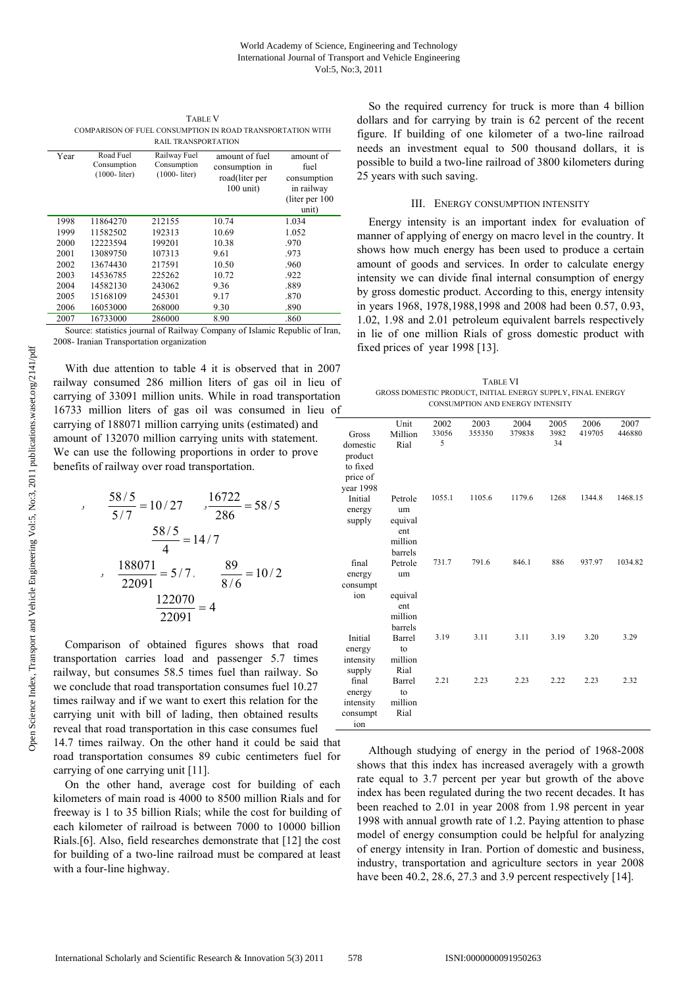TABLE V COMPARISON OF FUEL CONSUMPTION IN ROAD TRANSPORTATION WITH RAIL TRANSPORTATION

| Year | Road Fuel<br>Consumption<br>$(1000 - liter)$ | Railway Fuel<br>Consumption<br>$(1000 - liter)$ | amount of fuel<br>consumption in<br>road(liter per<br>$100$ unit) | amount of<br>fuel<br>consumption<br>in railway<br>(liter per 100)<br>unit) |
|------|----------------------------------------------|-------------------------------------------------|-------------------------------------------------------------------|----------------------------------------------------------------------------|
| 1998 | 11864270                                     | 212155                                          | 10.74                                                             | 1.034                                                                      |
| 1999 | 11582502                                     | 192313                                          | 10.69                                                             | 1.052                                                                      |
| 2000 | 12223594                                     | 199201                                          | 10.38                                                             | .970                                                                       |
| 2001 | 13089750                                     | 107313                                          | 9.61                                                              | .973                                                                       |
| 2002 | 13674430                                     | 217591                                          | 10.50                                                             | .960                                                                       |
| 2003 | 14536785                                     | 225262                                          | 10.72                                                             | .922                                                                       |
| 2004 | 14582130                                     | 243062                                          | 9.36                                                              | .889                                                                       |
| 2005 | 15168109                                     | 245301                                          | 9.17                                                              | .870                                                                       |
| 2006 | 16053000                                     | 268000                                          | 9.30                                                              | .890                                                                       |
| 2007 | 16733000                                     | 286000                                          | 8.90                                                              | .860                                                                       |

Source: statistics journal of Railway Company of Islamic Republic of Iran, 2008- Iranian Transportation organization

With due attention to table 4 it is observed that in 2007 railway consumed 286 million liters of gas oil in lieu of carrying of 33091 million units. While in road transportation 16733 million liters of gas oil was consumed in lieu of carrying of 188071 million carrying units (estimated) and amount of 132070 million carrying units with statement. We can use the following proportions in order to prove benefits of railway over road transportation.

$$
\frac{58/5}{5/7} = 10/27 \qquad \frac{16722}{286} = 58/5
$$

$$
\frac{58/5}{4} = 14/7
$$

$$
\frac{188071}{22091} = 5/7, \qquad \frac{89}{8/6} = 10/2
$$

$$
\frac{122070}{22091} = 4
$$

Comparison of obtained figures shows that road transportation carries load and passenger 5.7 times railway, but consumes 58.5 times fuel than railway. So we conclude that road transportation consumes fuel 10.27 times railway and if we want to exert this relation for the carrying unit with bill of lading, then obtained results reveal that road transportation in this case consumes fuel

14.7 times railway. On the other hand it could be said that road transportation consumes 89 cubic centimeters fuel for carrying of one carrying unit [11].

On the other hand, average cost for building of each kilometers of main road is 4000 to 8500 million Rials and for freeway is 1 to 35 billion Rials; while the cost for building of each kilometer of railroad is between 7000 to 10000 billion Rials.[6]. Also, field researches demonstrate that [12] the cost for building of a two-line railroad must be compared at least with a four-line highway.

So the required currency for truck is more than 4 billion dollars and for carrying by train is 62 percent of the recent figure. If building of one kilometer of a two-line railroad needs an investment equal to 500 thousand dollars, it is possible to build a two-line railroad of 3800 kilometers during 25 years with such saving.

# III. ENERGY CONSUMPTION INTENSITY

Energy intensity is an important index for evaluation of manner of applying of energy on macro level in the country. It shows how much energy has been used to produce a certain amount of goods and services. In order to calculate energy intensity we can divide final internal consumption of energy by gross domestic product. According to this, energy intensity in years 1968, 1978,1988,1998 and 2008 had been 0.57, 0.93, 1.02, 1.98 and 2.01 petroleum equivalent barrels respectively in lie of one million Rials of gross domestic product with fixed prices of year 1998 [13].

TABLE VI GROSS DOMESTIC PRODUCT, INITIAL ENERGY SUPPLY, FINAL ENERGY CONSUMPTION AND ENERGY INTENSITY

|                   | Unit            | 2002<br>33056 | 2003   | 2004<br>379838 | 2005<br>3982 | 2006<br>419705 | 2007<br>446880 |
|-------------------|-----------------|---------------|--------|----------------|--------------|----------------|----------------|
| Gross<br>domestic | Million<br>Rial | 5             | 355350 |                | 34           |                |                |
| product           |                 |               |        |                |              |                |                |
| to fixed          |                 |               |        |                |              |                |                |
| price of          |                 |               |        |                |              |                |                |
| year 1998         |                 |               |        |                |              |                |                |
| Initial           | Petrole         | 1055.1        | 1105.6 | 1179.6         | 1268         | 1344.8         | 1468.15        |
| energy            | um              |               |        |                |              |                |                |
| supply            | equival         |               |        |                |              |                |                |
|                   | ent             |               |        |                |              |                |                |
|                   | million         |               |        |                |              |                |                |
|                   | barrels         | 731.7         | 791.6  | 846.1          | 886          | 937.97         | 1034.82        |
| final             | Petrole         |               |        |                |              |                |                |
| energy            | um              |               |        |                |              |                |                |
| consumpt<br>ion   | equival         |               |        |                |              |                |                |
|                   | ent             |               |        |                |              |                |                |
|                   | million         |               |        |                |              |                |                |
|                   | barrels         |               |        |                |              |                |                |
| Initial           | Barrel          | 3.19          | 3.11   | 3.11           | 3.19         | 3.20           | 3.29           |
| energy            | to              |               |        |                |              |                |                |
| intensity         | million         |               |        |                |              |                |                |
| supply            | Rial            |               |        |                |              |                |                |
| final             | Barrel          | 2.21          | 2.23   | 2.23           | 2.22         | 2.23           | 2.32           |
| energy            | to              |               |        |                |              |                |                |
| intensity         | million         |               |        |                |              |                |                |
| consumpt          | Rial            |               |        |                |              |                |                |
| ion               |                 |               |        |                |              |                |                |

Although studying of energy in the period of 1968-2008 shows that this index has increased averagely with a growth rate equal to 3.7 percent per year but growth of the above index has been regulated during the two recent decades. It has been reached to 2.01 in year 2008 from 1.98 percent in year 1998 with annual growth rate of 1.2. Paying attention to phase model of energy consumption could be helpful for analyzing of energy intensity in Iran. Portion of domestic and business, industry, transportation and agriculture sectors in year 2008 have been 40.2, 28.6, 27.3 and 3.9 percent respectively [14].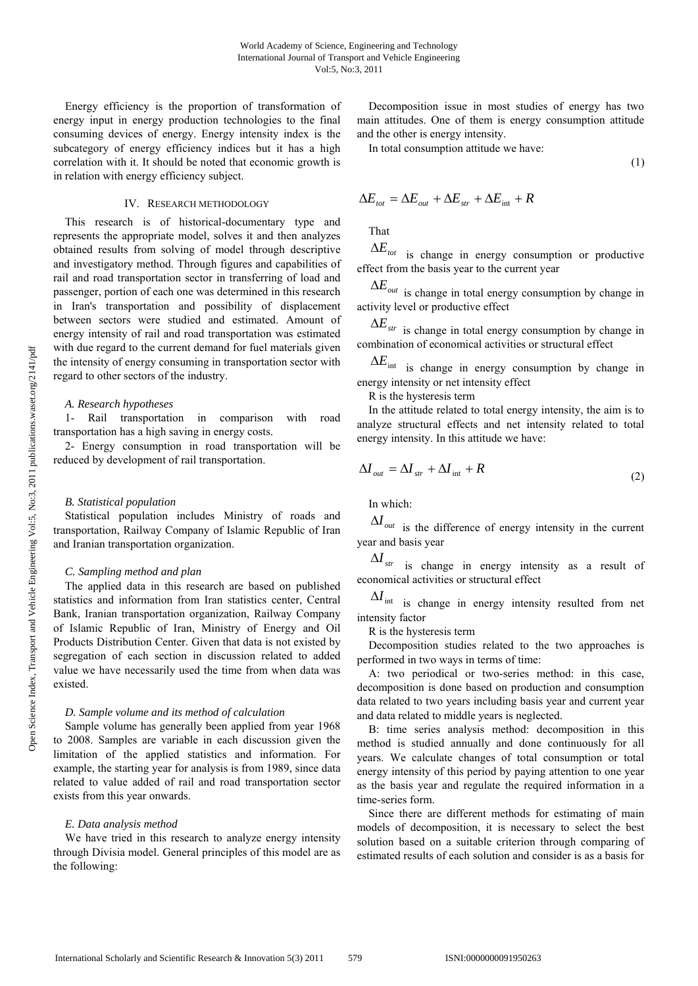Energy efficiency is the proportion of transformation of energy input in energy production technologies to the final consuming devices of energy. Energy intensity index is the subcategory of energy efficiency indices but it has a high correlation with it. It should be noted that economic growth is in relation with energy efficiency subject.

# IV. RESEARCH METHODOLOGY

This research is of historical-documentary type and represents the appropriate model, solves it and then analyzes obtained results from solving of model through descriptive and investigatory method. Through figures and capabilities of rail and road transportation sector in transferring of load and passenger, portion of each one was determined in this research in Iran's transportation and possibility of displacement between sectors were studied and estimated. Amount of energy intensity of rail and road transportation was estimated with due regard to the current demand for fuel materials given the intensity of energy consuming in transportation sector with regard to other sectors of the industry.

#### *A. Research hypotheses*

1- Rail transportation in comparison with road transportation has a high saving in energy costs.

2- Energy consumption in road transportation will be reduced by development of rail transportation.

### *B. Statistical population*

Statistical population includes Ministry of roads and transportation, Railway Company of Islamic Republic of Iran and Iranian transportation organization.

### *C. Sampling method and plan*

The applied data in this research are based on published statistics and information from Iran statistics center, Central Bank, Iranian transportation organization, Railway Company of Islamic Republic of Iran, Ministry of Energy and Oil Products Distribution Center. Given that data is not existed by segregation of each section in discussion related to added value we have necessarily used the time from when data was existed.

#### *D. Sample volume and its method of calculation*

Sample volume has generally been applied from year 1968 to 2008. Samples are variable in each discussion given the limitation of the applied statistics and information. For example, the starting year for analysis is from 1989, since data related to value added of rail and road transportation sector exists from this year onwards.

#### *E. Data analysis method*

We have tried in this research to analyze energy intensity through Divisia model. General principles of this model are as the following:

Decomposition issue in most studies of energy has two main attitudes. One of them is energy consumption attitude and the other is energy intensity.

In total consumption attitude we have:

$$
(1)
$$

$$
\Delta E_{\text{tot}} = \Delta E_{\text{out}} + \Delta E_{\text{str}} + \Delta E_{\text{int}} + R
$$

That

 $\Delta E_{tot}$  is change in energy consumption or productive effect from the basis year to the current year

<sup>Δ</sup>*Eout* is change in total energy consumption by change in activity level or productive effect

 $\Delta E_{str}$  is change in total energy consumption by change in combination of economical activities or structural effect

 $\Delta E_{\text{int}}$  is change in energy consumption by change in energy intensity or net intensity effect

R is the hysteresis term

In the attitude related to total energy intensity, the aim is to analyze structural effects and net intensity related to total energy intensity. In this attitude we have:

$$
\Delta I_{out} = \Delta I_{str} + \Delta I_{int} + R \tag{2}
$$

In which:

 $ΔI$ <sub>out</sub> is the difference of energy intensity in the current year and basis year

*str* <sup>Δ</sup>*I* is change in energy intensity as a result of economical activities or structural effect

 $\Delta I$ <sub>int is change in energy intensity resulted from net</sub> intensity factor

R is the hysteresis term

Decomposition studies related to the two approaches is performed in two ways in terms of time:

A: two periodical or two-series method: in this case, decomposition is done based on production and consumption data related to two years including basis year and current year and data related to middle years is neglected.

B: time series analysis method: decomposition in this method is studied annually and done continuously for all years. We calculate changes of total consumption or total energy intensity of this period by paying attention to one year as the basis year and regulate the required information in a time-series form.

Since there are different methods for estimating of main models of decomposition, it is necessary to select the best solution based on a suitable criterion through comparing of estimated results of each solution and consider is as a basis for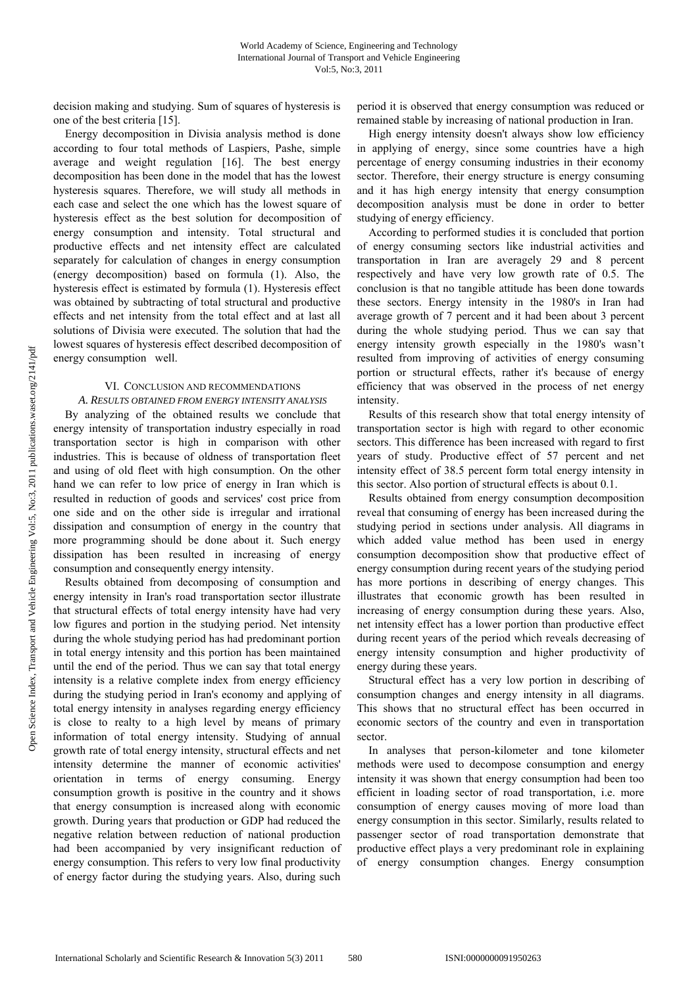decision making and studying. Sum of squares of hysteresis is one of the best criteria [15].

Energy decomposition in Divisia analysis method is done according to four total methods of Laspiers, Pashe, simple average and weight regulation [16]. The best energy decomposition has been done in the model that has the lowest hysteresis squares. Therefore, we will study all methods in each case and select the one which has the lowest square of hysteresis effect as the best solution for decomposition of energy consumption and intensity. Total structural and productive effects and net intensity effect are calculated separately for calculation of changes in energy consumption (energy decomposition) based on formula (1). Also, the hysteresis effect is estimated by formula (1). Hysteresis effect was obtained by subtracting of total structural and productive effects and net intensity from the total effect and at last all solutions of Divisia were executed. The solution that had the lowest squares of hysteresis effect described decomposition of energy consumption well.

# VI. CONCLUSION AND RECOMMENDATIONS

*A. RESULTS OBTAINED FROM ENERGY INTENSITY ANALYSIS*  By analyzing of the obtained results we conclude that energy intensity of transportation industry especially in road transportation sector is high in comparison with other industries. This is because of oldness of transportation fleet and using of old fleet with high consumption. On the other hand we can refer to low price of energy in Iran which is resulted in reduction of goods and services' cost price from one side and on the other side is irregular and irrational dissipation and consumption of energy in the country that more programming should be done about it. Such energy dissipation has been resulted in increasing of energy consumption and consequently energy intensity.

Results obtained from decomposing of consumption and energy intensity in Iran's road transportation sector illustrate that structural effects of total energy intensity have had very low figures and portion in the studying period. Net intensity during the whole studying period has had predominant portion in total energy intensity and this portion has been maintained until the end of the period. Thus we can say that total energy intensity is a relative complete index from energy efficiency during the studying period in Iran's economy and applying of total energy intensity in analyses regarding energy efficiency is close to realty to a high level by means of primary information of total energy intensity. Studying of annual growth rate of total energy intensity, structural effects and net intensity determine the manner of economic activities' orientation in terms of energy consuming. Energy consumption growth is positive in the country and it shows that energy consumption is increased along with economic growth. During years that production or GDP had reduced the negative relation between reduction of national production had been accompanied by very insignificant reduction of energy consumption. This refers to very low final productivity of energy factor during the studying years. Also, during such

period it is observed that energy consumption was reduced or remained stable by increasing of national production in Iran.

High energy intensity doesn't always show low efficiency in applying of energy, since some countries have a high percentage of energy consuming industries in their economy sector. Therefore, their energy structure is energy consuming and it has high energy intensity that energy consumption decomposition analysis must be done in order to better studying of energy efficiency.

According to performed studies it is concluded that portion of energy consuming sectors like industrial activities and transportation in Iran are averagely 29 and 8 percent respectively and have very low growth rate of 0.5. The conclusion is that no tangible attitude has been done towards these sectors. Energy intensity in the 1980's in Iran had average growth of 7 percent and it had been about 3 percent during the whole studying period. Thus we can say that energy intensity growth especially in the 1980's wasn't resulted from improving of activities of energy consuming portion or structural effects, rather it's because of energy efficiency that was observed in the process of net energy intensity.

Results of this research show that total energy intensity of transportation sector is high with regard to other economic sectors. This difference has been increased with regard to first years of study. Productive effect of 57 percent and net intensity effect of 38.5 percent form total energy intensity in this sector. Also portion of structural effects is about 0.1.

Results obtained from energy consumption decomposition reveal that consuming of energy has been increased during the studying period in sections under analysis. All diagrams in which added value method has been used in energy consumption decomposition show that productive effect of energy consumption during recent years of the studying period has more portions in describing of energy changes. This illustrates that economic growth has been resulted in increasing of energy consumption during these years. Also, net intensity effect has a lower portion than productive effect during recent years of the period which reveals decreasing of energy intensity consumption and higher productivity of energy during these years.

Structural effect has a very low portion in describing of consumption changes and energy intensity in all diagrams. This shows that no structural effect has been occurred in economic sectors of the country and even in transportation sector.

In analyses that person-kilometer and tone kilometer methods were used to decompose consumption and energy intensity it was shown that energy consumption had been too efficient in loading sector of road transportation, i.e. more consumption of energy causes moving of more load than energy consumption in this sector. Similarly, results related to passenger sector of road transportation demonstrate that productive effect plays a very predominant role in explaining of energy consumption changes. Energy consumption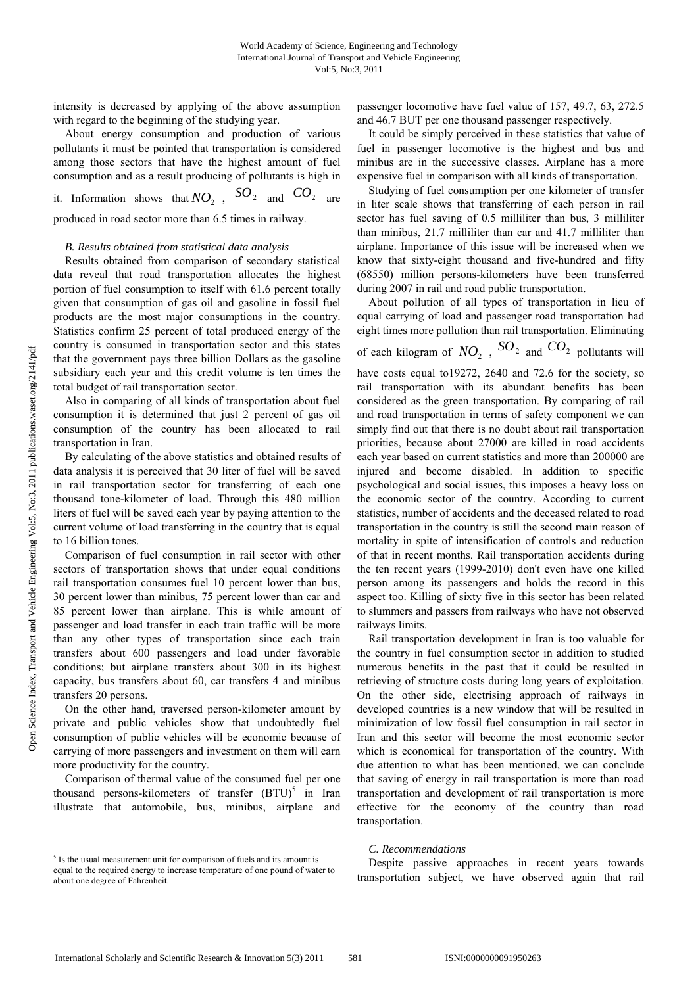intensity is decreased by applying of the above assumption with regard to the beginning of the studying year.

About energy consumption and production of various pollutants it must be pointed that transportation is considered among those sectors that have the highest amount of fuel consumption and as a result producing of pollutants is high in

it. Information shows that  $NO_2$ ,  $SO_2$  and  $CO_2$  are

produced in road sector more than 6.5 times in railway.

# *B. Results obtained from statistical data analysis*

Results obtained from comparison of secondary statistical data reveal that road transportation allocates the highest portion of fuel consumption to itself with 61.6 percent totally given that consumption of gas oil and gasoline in fossil fuel products are the most major consumptions in the country. Statistics confirm 25 percent of total produced energy of the country is consumed in transportation sector and this states that the government pays three billion Dollars as the gasoline subsidiary each year and this credit volume is ten times the total budget of rail transportation sector.

Also in comparing of all kinds of transportation about fuel consumption it is determined that just 2 percent of gas oil consumption of the country has been allocated to rail transportation in Iran.

By calculating of the above statistics and obtained results of data analysis it is perceived that 30 liter of fuel will be saved in rail transportation sector for transferring of each one thousand tone-kilometer of load. Through this 480 million liters of fuel will be saved each year by paying attention to the current volume of load transferring in the country that is equal to 16 billion tones.

Comparison of fuel consumption in rail sector with other sectors of transportation shows that under equal conditions rail transportation consumes fuel 10 percent lower than bus, 30 percent lower than minibus, 75 percent lower than car and 85 percent lower than airplane. This is while amount of passenger and load transfer in each train traffic will be more than any other types of transportation since each train transfers about 600 passengers and load under favorable conditions; but airplane transfers about 300 in its highest capacity, bus transfers about 60, car transfers 4 and minibus transfers 20 persons.

On the other hand, traversed person-kilometer amount by private and public vehicles show that undoubtedly fuel consumption of public vehicles will be economic because of carrying of more passengers and investment on them will earn more productivity for the country.

Comparison of thermal value of the consumed fuel per one thousand persons-kilometers of transfer  $(BTU)^5$  in Iran illustrate that automobile, bus, minibus, airplane and

passenger locomotive have fuel value of 157, 49.7, 63, 272.5 and 46.7 BUT per one thousand passenger respectively.

It could be simply perceived in these statistics that value of fuel in passenger locomotive is the highest and bus and minibus are in the successive classes. Airplane has a more expensive fuel in comparison with all kinds of transportation.

Studying of fuel consumption per one kilometer of transfer in liter scale shows that transferring of each person in rail sector has fuel saving of 0.5 milliliter than bus, 3 milliliter than minibus, 21.7 milliliter than car and 41.7 milliliter than airplane. Importance of this issue will be increased when we know that sixty-eight thousand and five-hundred and fifty (68550) million persons-kilometers have been transferred during 2007 in rail and road public transportation.

About pollution of all types of transportation in lieu of equal carrying of load and passenger road transportation had eight times more pollution than rail transportation. Eliminating

of each kilogram of  $NO_2$ ,  $SO_2$  and  $CO_2$  pollutants will have costs equal to19272, 2640 and 72.6 for the society, so rail transportation with its abundant benefits has been considered as the green transportation. By comparing of rail and road transportation in terms of safety component we can simply find out that there is no doubt about rail transportation priorities, because about 27000 are killed in road accidents each year based on current statistics and more than 200000 are injured and become disabled. In addition to specific psychological and social issues, this imposes a heavy loss on the economic sector of the country. According to current statistics, number of accidents and the deceased related to road transportation in the country is still the second main reason of mortality in spite of intensification of controls and reduction of that in recent months. Rail transportation accidents during the ten recent years (1999-2010) don't even have one killed person among its passengers and holds the record in this aspect too. Killing of sixty five in this sector has been related to slummers and passers from railways who have not observed railways limits.

Rail transportation development in Iran is too valuable for the country in fuel consumption sector in addition to studied numerous benefits in the past that it could be resulted in retrieving of structure costs during long years of exploitation. On the other side, electrising approach of railways in developed countries is a new window that will be resulted in minimization of low fossil fuel consumption in rail sector in Iran and this sector will become the most economic sector which is economical for transportation of the country. With due attention to what has been mentioned, we can conclude that saving of energy in rail transportation is more than road transportation and development of rail transportation is more effective for the economy of the country than road transportation.

#### *C. Recommendations*

Despite passive approaches in recent years towards transportation subject, we have observed again that rail

<sup>&</sup>lt;sup>5</sup> Is the usual measurement unit for comparison of fuels and its amount is equal to the required energy to increase temperature of one pound of water to about one degree of Fahrenheit.